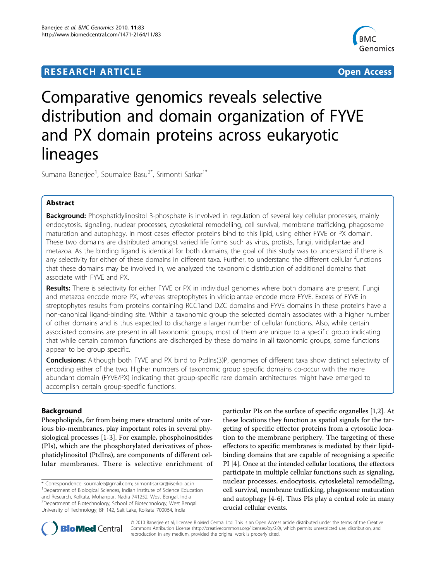## **RESEARCH ARTICLE External Structure Community Community Community Community Community Community Community Community Community Community Community Community Community Community Community Community Community Community Com**



# Comparative genomics reveals selective distribution and domain organization of FYVE and PX domain proteins across eukaryotic lineages

Sumana Banerjee<sup>1</sup>, Soumalee Basu<sup>2\*</sup>, Srimonti Sarkar<sup>1\*</sup>

## Abstract

Background: Phosphatidylinositol 3-phosphate is involved in regulation of several key cellular processes, mainly endocytosis, signaling, nuclear processes, cytoskeletal remodelling, cell survival, membrane trafficking, phagosome maturation and autophagy. In most cases effector proteins bind to this lipid, using either FYVE or PX domain. These two domains are distributed amongst varied life forms such as virus, protists, fungi, viridiplantae and metazoa. As the binding ligand is identical for both domains, the goal of this study was to understand if there is any selectivity for either of these domains in different taxa. Further, to understand the different cellular functions that these domains may be involved in, we analyzed the taxonomic distribution of additional domains that associate with FYVE and PX.

Results: There is selectivity for either FYVE or PX in individual genomes where both domains are present. Fungi and metazoa encode more PX, whereas streptophytes in viridiplantae encode more FYVE. Excess of FYVE in streptophytes results from proteins containing RCC1and DZC domains and FYVE domains in these proteins have a non-canonical ligand-binding site. Within a taxonomic group the selected domain associates with a higher number of other domains and is thus expected to discharge a larger number of cellular functions. Also, while certain associated domains are present in all taxonomic groups, most of them are unique to a specific group indicating that while certain common functions are discharged by these domains in all taxonomic groups, some functions appear to be group specific.

Conclusions: Although both FYVE and PX bind to PtdIns(3)P, genomes of different taxa show distinct selectivity of encoding either of the two. Higher numbers of taxonomic group specific domains co-occur with the more abundant domain (FYVE/PX) indicating that group-specific rare domain architectures might have emerged to accomplish certain group-specific functions.

## Background

Phospholipids, far from being mere structural units of various bio-membranes, play important roles in several physiological processes [\[1-3](#page-10-0)]. For example, phosphoinositides (PIs), which are the phosphorylated derivatives of phosphatidylinositol (PtdIns), are components of different cellular membranes. There is selective enrichment of particular PIs on the surface of specific organelles [\[1,2\]](#page-10-0). At these locations they function as spatial signals for the targeting of specific effector proteins from a cytosolic location to the membrane periphery. The targeting of these effectors to specific membranes is mediated by their lipidbinding domains that are capable of recognising a specific PI [\[4\]](#page-10-0). Once at the intended cellular locations, the effectors participate in multiple cellular functions such as signaling, nuclear processes, endocytosis, cytoskeletal remodelling, cell survival, membrane trafficking, phagosome maturation and autophagy [\[4-6](#page-10-0)]. Thus PIs play a central role in many crucial cellular events.



© 2010 Banerjee et al; licensee BioMed Central Ltd. This is an Open Access article distributed under the terms of the Creative Commons Attribution License [\(http://creativecommons.org/licenses/by/2.0](http://creativecommons.org/licenses/by/2.0)), which permits unrestricted use, distribution, and reproduction in any medium, provided the original work is properly cited.

<sup>\*</sup> Correspondence: [soumalee@gmail.com](mailto:soumalee@gmail.com); [srimontisarkar@iiserkol.ac.in](mailto:srimontisarkar@iiserkol.ac.in) <sup>1</sup>Department of Biological Sciences, Indian Institute of Science Education and Research, Kolkata, Mohanpur, Nadia 741252, West Bengal, India <sup>2</sup>Department of Biotechnology, School of Biotechnology, West Bengal University of Technology, BF 142, Salt Lake, Kolkata 700064, India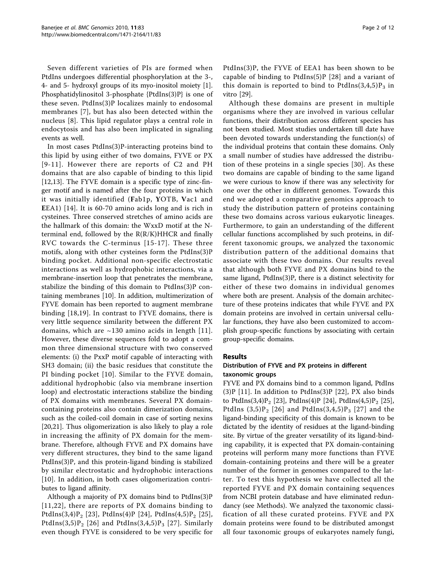Seven different varieties of PIs are formed when PtdIns undergoes differential phosphorylation at the 3-, 4- and 5- hydroxyl groups of its myo-inositol moiety [\[1](#page-10-0)]. Phosphatidylinositol 3-phosphate {PtdIns(3)P} is one of these seven. PtdIns(3)P localizes mainly to endosomal membranes [[7](#page-10-0)], but has also been detected within the nucleus [[8\]](#page-10-0). This lipid regulator plays a central role in endocytosis and has also been implicated in signaling events as well.

In most cases PtdIns(3)P-interacting proteins bind to this lipid by using either of two domains, FYVE or PX [[9-11\]](#page-10-0). However there are reports of C2 and PH domains that are also capable of binding to this lipid [[12,13\]](#page-10-0). The FYVE domain is a specific type of zinc-finger motif and is named after the four proteins in which it was initially identified (Fab1p, YOTB, Vac1 and EEA1) [[14\]](#page-10-0). It is 60-70 amino acids long and is rich in cysteines. Three conserved stretches of amino acids are the hallmark of this domain: the WxxD motif at the Nterminal end, followed by the  $R(R/K)HHCR$  and finally RVC towards the C-terminus [[15-17\]](#page-10-0). These three motifs, along with other cysteines form the PtdIns(3)P binding pocket. Additional non-specific electrostatic interactions as well as hydrophobic interactions, via a membrane-insertion loop that penetrates the membrane, stabilize the binding of this domain to PtdIns(3)P containing membranes [[10\]](#page-10-0). In addition, multimerization of FYVE domain has been reported to augment membrane binding [[18,](#page-10-0)[19](#page-11-0)]. In contrast to FYVE domains, there is very little sequence similarity between the different PX domains, which are  $\sim$ 130 amino acids in length [[11\]](#page-10-0). However, these diverse sequences fold to adopt a common three dimensional structure with two conserved elements: (i) the PxxP motif capable of interacting with SH3 domain; (ii) the basic residues that constitute the PI binding pocket [[10](#page-10-0)]. Similar to the FYVE domain, additional hydrophobic (also via membrane insertion loop) and electrostatic interactions stabilize the binding of PX domains with membranes. Several PX domaincontaining proteins also contain dimerization domains, such as the coiled-coil domain in case of sorting nexins [[20,21\]](#page-11-0). Thus oligomerization is also likely to play a role in increasing the affinity of PX domain for the membrane. Therefore, although FYVE and PX domains have very different structures, they bind to the same ligand PtdIns(3)P, and this protein-ligand binding is stabilized by similar electrostatic and hydrophobic interactions [[10](#page-10-0)]. In addition, in both cases oligomerization contributes to ligand affinity.

Although a majority of PX domains bind to PtdIns(3)P [[11,](#page-10-0)[22](#page-11-0)], there are reports of PX domains binding to PtdIns $(3,4)P_2$  [[23](#page-11-0)], PtdIns $(4)P$  [[24](#page-11-0)], PtdIns $(4,5)P_2$  [[25](#page-11-0)], PtdIns(3,5) $P_2$  [[26](#page-11-0)] and PtdIns(3,4,5) $P_3$  [[27](#page-11-0)]. Similarly even though FYVE is considered to be very specific for

PtdIns(3)P, the FYVE of EEA1 has been shown to be capable of binding to PtdIns(5)P [[28\]](#page-11-0) and a variant of this domain is reported to bind to  $PtdIns(3,4,5)P_3$  in vitro [\[29\]](#page-11-0).

Although these domains are present in multiple organisms where they are involved in various cellular functions, their distribution across different species has not been studied. Most studies undertaken till date have been devoted towards understanding the function(s) of the individual proteins that contain these domains. Only a small number of studies have addressed the distribution of these proteins in a single species [\[30](#page-11-0)]. As these two domains are capable of binding to the same ligand we were curious to know if there was any selectivity for one over the other in different genomes. Towards this end we adopted a comparative genomics approach to study the distribution pattern of proteins containing these two domains across various eukaryotic lineages. Furthermore, to gain an understanding of the different cellular functions accomplished by such proteins, in different taxonomic groups, we analyzed the taxonomic distribution pattern of the additional domains that associate with these two domains. Our results reveal that although both FYVE and PX domains bind to the same ligand, PtdIns(3)P, there is a distinct selectivity for either of these two domains in individual genomes where both are present. Analysis of the domain architecture of these proteins indicates that while FYVE and PX domain proteins are involved in certain universal cellular functions, they have also been customized to accomplish group-specific functions by associating with certain group-specific domains.

#### Results

## Distribution of FYVE and PX proteins in different taxonomic groups

FYVE and PX domains bind to a common ligand, PtdIns (3)P [[11\]](#page-10-0). In addition to PtdIns(3)P [\[22](#page-11-0)], PX also binds to PtdIns $(3,4)P_2$  [[23](#page-11-0)], PtdIns $(4)P$  [[24\]](#page-11-0), PtdIns $(4,5)P_2$  [\[25](#page-11-0)], PtdIns  $(3,5)P_2$  [[26\]](#page-11-0) and PtdIns $(3,4,5)P_3$  [[27\]](#page-11-0) and the ligand-binding specificity of this domain is known to be dictated by the identity of residues at the ligand-binding site. By virtue of the greater versatility of its ligand-binding capability, it is expected that PX domain-containing proteins will perform many more functions than FYVE domain-containing proteins and there will be a greater number of the former in genomes compared to the latter. To test this hypothesis we have collected all the reported FYVE and PX domain containing sequences from NCBI protein database and have eliminated redundancy (see Methods). We analyzed the taxonomic classification of all these curated proteins. FYVE and PX domain proteins were found to be distributed amongst all four taxonomic groups of eukaryotes namely fungi,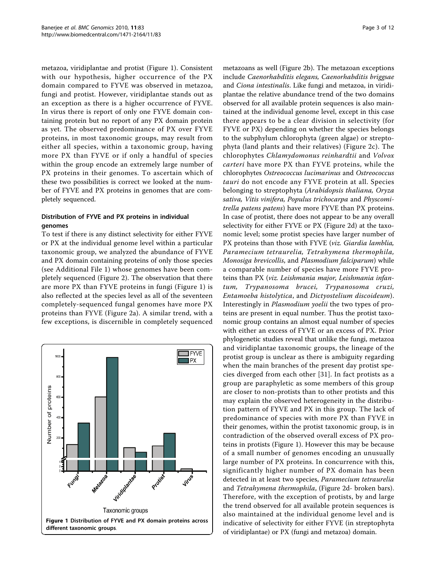<span id="page-2-0"></span>metazoa, viridiplantae and protist (Figure 1). Consistent with our hypothesis, higher occurrence of the PX domain compared to FYVE was observed in metazoa, fungi and protist. However, viridiplantae stands out as an exception as there is a higher occurrence of FYVE. In virus there is report of only one FYVE domain containing protein but no report of any PX domain protein as yet. The observed predominance of PX over FYVE proteins, in most taxonomic groups, may result from either all species, within a taxonomic group, having more PX than FYVE or if only a handful of species within the group encode an extremely large number of PX proteins in their genomes. To ascertain which of these two possibilities is correct we looked at the number of FYVE and PX proteins in genomes that are completely sequenced.

## Distribution of FYVE and PX proteins in individual genomes

To test if there is any distinct selectivity for either FYVE or PX at the individual genome level within a particular taxonomic group, we analyzed the abundance of FYVE and PX domain containing proteins of only those species (see Additional File [1\)](#page-10-0) whose genomes have been completely sequenced (Figure [2\)](#page-3-0). The observation that there are more PX than FYVE proteins in fungi (Figure 1) is also reflected at the species level as all of the seventeen completely-sequenced fungal genomes have more PX proteins than FYVE (Figure [2a](#page-3-0)). A similar trend, with a few exceptions, is discernible in completely sequenced



metazoans as well (Figure [2b](#page-3-0)). The metazoan exceptions include Caenorhabditis elegans, Caenorhabditis briggsae and Ciona intestinalis. Like fungi and metazoa, in viridiplantae the relative abundance trend of the two domains observed for all available protein sequences is also maintained at the individual genome level, except in this case there appears to be a clear division in selectivity (for FYVE or PX) depending on whether the species belongs to the subphylum chlorophyta (green algae) or streptophyta (land plants and their relatives) (Figure [2c\)](#page-3-0). The chlorophytes Chlamydomonus reinhardtii and Volvox carteri have more PX than FYVE proteins, while the chlorophytes Ostreococcus lucimarinus and Ostreococcus tauri do not encode any FYVE protein at all. Species belonging to streptophyta (Arabidopsis thaliana, Oryza sativa, Vitis vinifera, Populus trichocarpa and Physcomitrella patens patens) have more FYVE than PX proteins. In case of protist, there does not appear to be any overall selectivity for either FYVE or PX (Figure [2d\)](#page-3-0) at the taxonomic level; some protist species have larger number of PX proteins than those with FYVE (viz. Giardia lamblia, Paramecium tetraurelia, Tetrahymena thermophila, Monosiga brevicollis, and Plasmodium falciparum) while a comparable number of species have more FYVE proteins than PX (viz. Leishmania major, Leishmania infantum, Trypanosoma brucei, Trypanosoma cruzi, Entamoeba histolytica, and Dictyostelium discoideum). Interestingly in Plasmodium yoelii the two types of proteins are present in equal number. Thus the protist taxonomic group contains an almost equal number of species with either an excess of FYVE or an excess of PX. Prior phylogenetic studies reveal that unlike the fungi, metazoa and viridiplantae taxonomic groups, the lineage of the protist group is unclear as there is ambiguity regarding when the main branches of the present day protist species diverged from each other [[31](#page-11-0)]. In fact protists as a group are paraphyletic as some members of this group are closer to non-protists than to other protists and this may explain the observed heterogeneity in the distribution pattern of FYVE and PX in this group. The lack of predominance of species with more PX than FYVE in their genomes, within the protist taxonomic group, is in contradiction of the observed overall excess of PX proteins in protists (Figure 1). However this may be because of a small number of genomes encoding an unusually large number of PX proteins. In concurrence with this, significantly higher number of PX domain has been detected in at least two species, Paramecium tetraurelia and Tetrahymena thermophila, (Figure [2d-](#page-3-0) broken bars). Therefore, with the exception of protists, by and large the trend observed for all available protein sequences is also maintained at the individual genome level and is indicative of selectivity for either FYVE (in streptophyta of viridiplantae) or PX (fungi and metazoa) domain.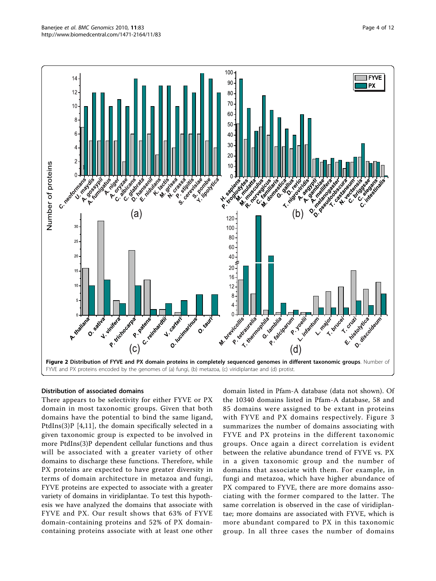<span id="page-3-0"></span>

## Distribution of associated domains

There appears to be selectivity for either FYVE or PX domain in most taxonomic groups. Given that both domains have the potential to bind the same ligand, PtdIns $(3)$ P [\[4](#page-10-0),[11\]](#page-10-0), the domain specifically selected in a given taxonomic group is expected to be involved in more PtdIns(3)P dependent cellular functions and thus will be associated with a greater variety of other domains to discharge these functions. Therefore, while PX proteins are expected to have greater diversity in terms of domain architecture in metazoa and fungi, FYVE proteins are expected to associate with a greater variety of domains in viridiplantae. To test this hypothesis we have analyzed the domains that associate with FYVE and PX. Our result shows that 63% of FYVE domain-containing proteins and 52% of PX domaincontaining proteins associate with at least one other

domain listed in Pfam-A database (data not shown). Of the 10340 domains listed in Pfam-A database, 58 and 85 domains were assigned to be extant in proteins with FYVE and PX domains respectively. Figure [3](#page-4-0) summarizes the number of domains associating with FYVE and PX proteins in the different taxonomic groups. Once again a direct correlation is evident between the relative abundance trend of FYVE vs. PX in a given taxonomic group and the number of domains that associate with them. For example, in fungi and metazoa, which have higher abundance of PX compared to FYVE, there are more domains associating with the former compared to the latter. The same correlation is observed in the case of viridiplantae; more domains are associated with FYVE, which is more abundant compared to PX in this taxonomic group. In all three cases the number of domains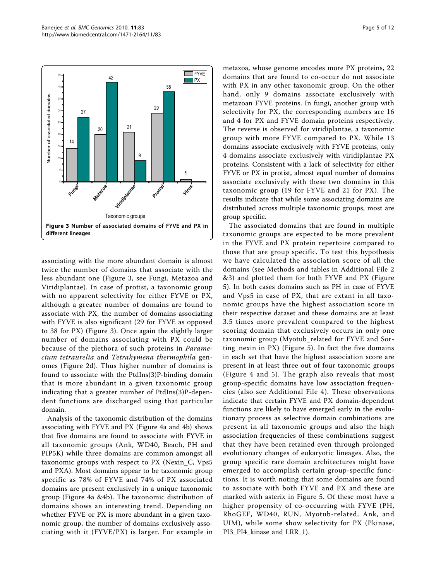<span id="page-4-0"></span>

associating with the more abundant domain is almost twice the number of domains that associate with the less abundant one (Figure 3, see Fungi, Metazoa and Viridiplantae). In case of protist, a taxonomic group with no apparent selectivity for either FYVE or PX, although a greater number of domains are found to associate with PX, the number of domains associating with FYVE is also significant (29 for FYVE as opposed to 38 for PX) (Figure 3). Once again the slightly larger number of domains associating with PX could be because of the plethora of such proteins in Paramecium tetraurelia and Tetrahymena thermophila genomes (Figure [2d\)](#page-3-0). Thus higher number of domains is found to associate with the PtdIns(3)P-binding domain that is more abundant in a given taxonomic group indicating that a greater number of PtdIns(3)P-dependent functions are discharged using that particular domain.

Analysis of the taxonomic distribution of the domains associating with FYVE and PX (Figure [4a](#page-5-0) and [4b](#page-5-0)) shows that five domains are found to associate with FYVE in all taxonomic groups (Ank, WD40, Beach, PH and PIP5K) while three domains are common amongst all taxonomic groups with respect to PX (Nexin\_C, Vps5 and PXA). Most domains appear to be taxonomic group specific as 78% of FYVE and 74% of PX associated domains are present exclusively in a unique taxonomic group (Figure [4a](#page-5-0) &[4b](#page-5-0)). The taxonomic distribution of domains shows an interesting trend. Depending on whether FYVE or PX is more abundant in a given taxonomic group, the number of domains exclusively associating with it (FYVE/PX) is larger. For example in metazoa, whose genome encodes more PX proteins, 22 domains that are found to co-occur do not associate with PX in any other taxonomic group. On the other hand, only 9 domains associate exclusively with metazoan FYVE proteins. In fungi, another group with selectivity for PX, the corresponding numbers are 16 and 4 for PX and FYVE domain proteins respectively. The reverse is observed for viridiplantae, a taxonomic group with more FYVE compared to PX. While 13 domains associate exclusively with FYVE proteins, only 4 domains associate exclusively with viridiplantae PX proteins. Consistent with a lack of selectivity for either FYVE or PX in protist, almost equal number of domains associate exclusively with these two domains in this taxonomic group (19 for FYVE and 21 for PX). The results indicate that while some associating domains are distributed across multiple taxonomic groups, most are group specific.

The associated domains that are found in multiple taxonomic groups are expected to be more prevalent in the FYVE and PX protein repertoire compared to those that are group specific. To test this hypothesis we have calculated the association score of all the domains (see Methods and tables in Additional File [2](#page-10-0) &[3](#page-10-0)) and plotted them for both FYVE and PX (Figure [5\)](#page-6-0). In both cases domains such as PH in case of FYVE and Vps5 in case of PX, that are extant in all taxonomic groups have the highest association score in their respective dataset and these domains are at least 3.5 times more prevalent compared to the highest scoring domain that exclusively occurs in only one taxonomic group (Myotub\_related for FYVE and Sor-ting nexin in PX) (Figure [5\)](#page-6-0). In fact the five domains in each set that have the highest association score are present in at least three out of four taxonomic groups (Figure [4](#page-5-0) and [5](#page-6-0)). The graph also reveals that most group-specific domains have low association frequencies (also see Additional File [4](#page-10-0)). These observations indicate that certain FYVE and PX domain-dependent functions are likely to have emerged early in the evolutionary process as selective domain combinations are present in all taxonomic groups and also the high association frequencies of these combinations suggest that they have been retained even through prolonged evolutionary changes of eukaryotic lineages. Also, the group specific rare domain architectures might have emerged to accomplish certain group-specific functions. It is worth noting that some domains are found to associate with both FYVE and PX and these are marked with asterix in Figure [5](#page-6-0). Of these most have a higher propensity of co-occurring with FYVE (PH, RhoGEF, WD40, RUN, Myotub-related, Ank, and UIM), while some show selectivity for PX (Pkinase, PI3\_PI4\_kinase and LRR\_1).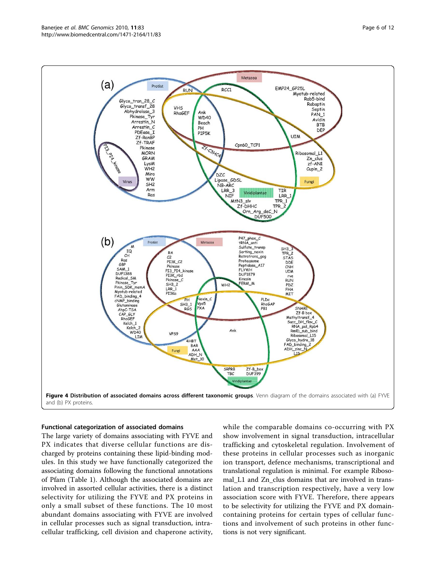<span id="page-5-0"></span>

## Functional categorization of associated domains

The large variety of domains associating with FYVE and PX indicates that diverse cellular functions are discharged by proteins containing these lipid-binding modules. In this study we have functionally categorized the associating domains following the functional annotations of Pfam (Table [1](#page-7-0)). Although the associated domains are involved in assorted cellular activities, there is a distinct selectivity for utilizing the FYVE and PX proteins in only a small subset of these functions. The 10 most abundant domains associating with FYVE are involved in cellular processes such as signal transduction, intracellular trafficking, cell division and chaperone activity, while the comparable domains co-occurring with PX show involvement in signal transduction, intracellular trafficking and cytoskeletal regulation. Involvement of these proteins in cellular processes such as inorganic ion transport, defence mechanisms, transcriptional and translational regulation is minimal. For example Ribosomal\_L1 and Zn\_clus domains that are involved in translation and transcription respectively, have a very low association score with FYVE. Therefore, there appears to be selectivity for utilizing the FYVE and PX domaincontaining proteins for certain types of cellular functions and involvement of such proteins in other functions is not very significant.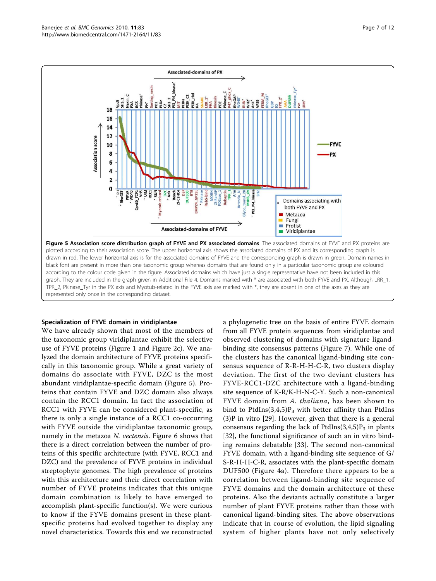<span id="page-6-0"></span>

#### Specialization of FYVE domain in viridiplantae

We have already shown that most of the members of the taxonomic group viridiplantae exhibit the selective use of FYVE proteins (Figure [1](#page-2-0) and Figure [2c](#page-3-0)). We analyzed the domain architecture of FYVE proteins specifically in this taxonomic group. While a great variety of domains do associate with FYVE, DZC is the most abundant viridiplantae-specific domain (Figure 5). Proteins that contain FYVE and DZC domain also always contain the RCC1 domain. In fact the association of RCC1 with FYVE can be considered plant-specific, as there is only a single instance of a RCC1 co-occurring with FYVE outside the viridiplantae taxonomic group, namely in the metazoa N. vectensis. Figure [6](#page-8-0) shows that there is a direct correlation between the number of proteins of this specific architecture (with FYVE, RCC1 and DZC) and the prevalence of FYVE proteins in individual streptophyte genomes. The high prevalence of proteins with this architecture and their direct correlation with number of FYVE proteins indicates that this unique domain combination is likely to have emerged to accomplish plant-specific function(s). We were curious to know if the FYVE domains present in these plantspecific proteins had evolved together to display any novel characteristics. Towards this end we reconstructed

a phylogenetic tree on the basis of entire FYVE domain from all FYVE protein sequences from viridiplantae and observed clustering of domains with signature ligandbinding site consensus patterns (Figure [7](#page-8-0)). While one of the clusters has the canonical ligand-binding site consensus sequence of R-R-H-H-C-R, two clusters display deviation. The first of the two deviant clusters has FYVE-RCC1-DZC architecture with a ligand-binding site sequence of K-R/K-H-N-C-Y. Such a non-canonical FYVE domain from A. thaliana, has been shown to bind to PtdIns $(3,4,5)P_3$  with better affinity than PtdIns (3)P in vitro [[29\]](#page-11-0). However, given that there is a general consensus regarding the lack of PtdIns $(3,4,5)P_3$  in plants [[32\]](#page-11-0), the functional significance of such an in vitro binding remains debatable [[33](#page-11-0)]. The second non-canonical FYVE domain, with a ligand-binding site sequence of G/ S-R-H-H-C-R, associates with the plant-specific domain DUF500 (Figure [4a\)](#page-5-0). Therefore there appears to be a correlation between ligand-binding site sequence of FYVE domains and the domain architecture of these proteins. Also the deviants actually constitute a larger number of plant FYVE proteins rather than those with canonical ligand-binding sites. The above observations indicate that in course of evolution, the lipid signaling system of higher plants have not only selectively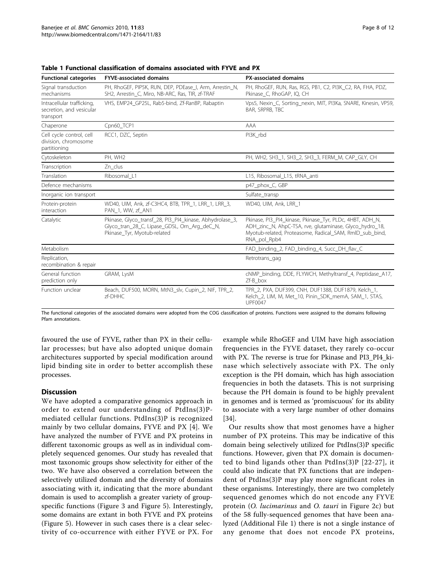| <b>Functional categories</b>                                        | <b>FYVE-associated domains</b>                                                                                                          | <b>PX-associated domains</b>                                                                                                                                                                   |
|---------------------------------------------------------------------|-----------------------------------------------------------------------------------------------------------------------------------------|------------------------------------------------------------------------------------------------------------------------------------------------------------------------------------------------|
| Signal transduction<br>mechanisms                                   | PH, RhoGEF, PIP5K, RUN, DEP, PDEase_I, Arm, Arrestin_N,<br>SH2, Arrestin_C, Miro, NB-ARC, Ras, TIR, zf-TRAF                             | PH, RhoGEF, RUN, Ras, RGS, PB1, C2, PI3K_C2, RA, FHA, PDZ,<br>Pkinase_C, RhoGAP, IQ, CH                                                                                                        |
| Intracellular trafficking,<br>secretion, and vesicular<br>transport | VHS, EMP24 GP25L, Rab5-bind, Zf-RanBP, Rabaptin                                                                                         | Vps5, Nexin_C, Sorting_nexin, MIT, PI3Ka, SNARE, Kinesin, VPS9,<br><b>BAR, SRPRB, TBC</b>                                                                                                      |
| Chaperone                                                           | Cpn60 TCP1                                                                                                                              | AAA                                                                                                                                                                                            |
| Cell cycle control, cell<br>division, chromosome<br>partitioning    | RCC1, DZC, Septin                                                                                                                       | PI3K rbd                                                                                                                                                                                       |
| Cytoskeleton                                                        | PH, WH2                                                                                                                                 | PH, WH2, SH3_1, SH3_2, SH3_3, FERM_M, CAP_GLY, CH                                                                                                                                              |
| Transcription                                                       | Zn clus                                                                                                                                 |                                                                                                                                                                                                |
| Translation                                                         | Ribosomal L1                                                                                                                            | L15, Ribosomal L15, tRNA anti                                                                                                                                                                  |
| Defence mechanisms                                                  |                                                                                                                                         | p47 phox C, GBP                                                                                                                                                                                |
| Inorganic ion transport                                             |                                                                                                                                         | Sulfate transp                                                                                                                                                                                 |
| Protein-protein<br>interaction                                      | WD40, UIM, Ank, zf-C3HC4, BTB, TPR_1, LRR_1, LRR_3,<br>PAN 1, WW, zf AN1                                                                | WD40, UIM, Ank, LRR 1                                                                                                                                                                          |
| Catalytic                                                           | Pkinase, Glyco_transf_28, PI3_PI4_kinase, Abhydrolase_3,<br>Glyco_tran_28_C, Lipase_GDSL, Orn_Arg_deC_N,<br>Pkinase_Tyr, Myotub-related | Pkinase, PI3_PI4_kinase, Pkinase_Tyr, PLDc, 4HBT, ADH_N,<br>ADH_zinc_N, AhpC-TSA, rve, glutaminase, Glyco_hydro_18,<br>Myotub-related, Proteasome, Radical_SAM, RmID_sub_bind,<br>RNA_pol_Rpb4 |
| Metabolism                                                          |                                                                                                                                         | FAD binding 2, FAD binding 4, Succ DH flav C                                                                                                                                                   |
| Replication,<br>recombination & repair                              |                                                                                                                                         | Retrotrans_gag                                                                                                                                                                                 |
| General function<br>prediction only                                 | GRAM, LysM                                                                                                                              | cNMP_binding, DDE, FLYWCH, Methyltransf_4, Peptidase_A17,<br>Zf-B_box                                                                                                                          |
| Function unclear                                                    | Beach, DUF500, MORN, MtN3_slv, Cupin_2, NIF, TPR_2,<br><b>zf-DHHC</b>                                                                   | TPR_2, PXA, DUF399, CNH, DUF1388, DUF1879, Kelch_1,<br>Kelch_2, LIM, M, Met_10, Pinin_SDK_memA, SAM_1, STAS,<br><b>UPF0047</b>                                                                 |

<span id="page-7-0"></span>Table 1 Functional classification of domains associated with FYVE and PX

The functional categories of the associated domains were adopted from the COG classification of proteins. Functions were assigned to the domains following Pfam annotations.

favoured the use of FYVE, rather than PX in their cellular processes; but have also adopted unique domain architectures supported by special modification around lipid binding site in order to better accomplish these processes.

#### **Discussion**

We have adopted a comparative genomics approach in order to extend our understanding of PtdIns(3)Pmediated cellular functions. PtdIns(3)P is recognized mainly by two cellular domains, FYVE and PX [[4](#page-10-0)]. We have analyzed the number of FYVE and PX proteins in different taxonomic groups as well as in individual completely sequenced genomes. Our study has revealed that most taxonomic groups show selectivity for either of the two. We have also observed a correlation between the selectively utilized domain and the diversity of domains associating with it, indicating that the more abundant domain is used to accomplish a greater variety of groupspecific functions (Figure [3](#page-4-0) and Figure [5\)](#page-6-0). Interestingly, some domains are extant in both FYVE and PX proteins (Figure [5](#page-6-0)). However in such cases there is a clear selectivity of co-occurrence with either FYVE or PX. For

example while RhoGEF and UIM have high association frequencies in the FYVE dataset, they rarely co-occur with PX. The reverse is true for Pkinase and PI3\_PI4\_kinase which selectively associate with PX. The only exception is the PH domain, which has high association frequencies in both the datasets. This is not surprising because the PH domain is found to be highly prevalent in genomes and is termed as 'promiscuous' for its ability to associate with a very large number of other domains [[34\]](#page-11-0).

Our results show that most genomes have a higher number of PX proteins. This may be indicative of this domain being selectively utilized for PtdIns(3)P specific functions. However, given that PX domain is documented to bind ligands other than PtdIns(3)P [[22](#page-11-0)-[27\]](#page-11-0), it could also indicate that PX functions that are independent of PtdIns(3)P may play more significant roles in these organisms. Interestingly, there are two completely sequenced genomes which do not encode any FYVE protein (O. lucimarinus and O. tauri in Figure [2c\)](#page-3-0) but of the 58 fully-sequenced genomes that have been analyzed (Additional File [1\)](#page-10-0) there is not a single instance of any genome that does not encode PX proteins,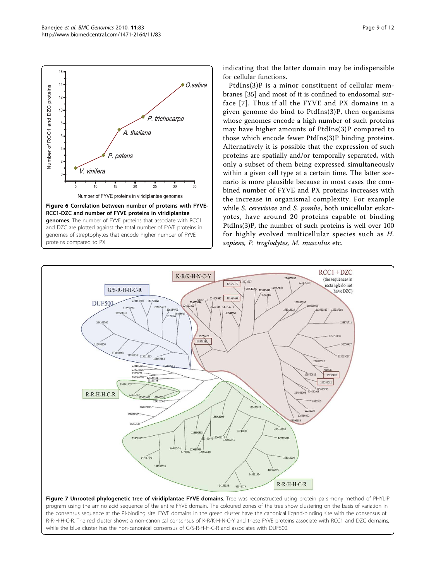<span id="page-8-0"></span>

indicating that the latter domain may be indispensible for cellular functions.

PtdIns(3)P is a minor constituent of cellular membranes [[35\]](#page-11-0) and most of it is confined to endosomal surface [[7](#page-10-0)]. Thus if all the FYVE and PX domains in a given genome do bind to PtdIns(3)P, then organisms whose genomes encode a high number of such proteins may have higher amounts of PtdIns(3)P compared to those which encode fewer PtdIns(3)P binding proteins. Alternatively it is possible that the expression of such proteins are spatially and/or temporally separated, with only a subset of them being expressed simultaneously within a given cell type at a certain time. The latter scenario is more plausible because in most cases the combined number of FYVE and PX proteins increases with the increase in organismal complexity. For example while S. cerevisiae and S. pombe, both unicellular eukaryotes, have around 20 proteins capable of binding PtdIns(3)P, the number of such proteins is well over 100 for highly evolved multicellular species such as H. sapiens, P. troglodytes, M. musculus etc.



Figure 7 Unrooted phylogenetic tree of viridiplantae FYVE domains. Tree was reconstructed using protein parsimony method of PHYLIP program using the amino acid sequence of the entire FYVE domain. The coloured zones of the tree show clustering on the basis of variation in the consensus sequence at the PI-binding site. FYVE domains in the green cluster have the canonical ligand-binding site with the consensus of R-R-H-H-C-R. The red cluster shows a non-canonical consensus of K-R/K-H-N-C-Y and these FYVE proteins associate with RCC1 and DZC domains, while the blue cluster has the non-canonical consensus of G/S-R-H-H-C-R and associates with DUF500.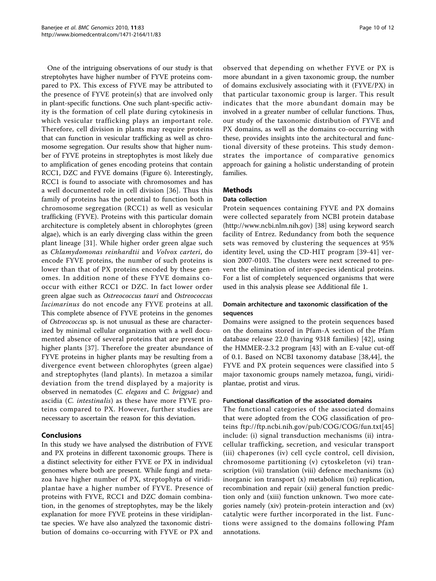One of the intriguing observations of our study is that streptohytes have higher number of FYVE proteins compared to PX. This excess of FYVE may be attributed to the presence of FYVE protein(s) that are involved only in plant-specific functions. One such plant-specific activity is the formation of cell plate during cytokinesis in which vesicular trafficking plays an important role. Therefore, cell division in plants may require proteins that can function in vesicular trafficking as well as chromosome segregation. Our results show that higher number of FYVE proteins in streptophytes is most likely due to amplification of genes encoding proteins that contain RCC1, DZC and FYVE domains (Figure [6](#page-8-0)). Interestingly, RCC1 is found to associate with chromosomes and has a well documented role in cell division [[36](#page-11-0)]. Thus this family of proteins has the potential to function both in chromosome segregation (RCC1) as well as vesicular trafficking (FYVE). Proteins with this particular domain architecture is completely absent in chlorophytes (green algae), which is an early diverging class within the green plant lineage [\[31](#page-11-0)]. While higher order green algae such as Chlamydomonas reinhardtii and Volvox carteri, do encode FYVE proteins, the number of such proteins is lower than that of PX proteins encoded by these genomes. In addition none of these FYVE domains cooccur with either RCC1 or DZC. In fact lower order green algae such as Ostreococcus tauri and Ostreococcus lucimarinus do not encode any FYVE proteins at all. This complete absence of FYVE proteins in the genomes of Ostreococcus sp. is not unusual as these are characterized by minimal cellular organization with a well documented absence of several proteins that are present in higher plants [\[37](#page-11-0)]. Therefore the greater abundance of FYVE proteins in higher plants may be resulting from a divergence event between chlorophytes (green algae) and streptophytes (land plants). In metazoa a similar deviation from the trend displayed by a majority is observed in nematodes (C. elegans and C. briggsae) and ascidia (C. intestinalis) as these have more FYVE proteins compared to PX. However, further studies are necessary to ascertain the reason for this deviation.

## Conclusions

In this study we have analysed the distribution of FYVE and PX proteins in different taxonomic groups. There is a distinct selectivity for either FYVE or PX in individual genomes where both are present. While fungi and metazoa have higher number of PX, streptophyta of viridiplantae have a higher number of FYVE. Presence of proteins with FYVE, RCC1 and DZC domain combination, in the genomes of streptophytes, may be the likely explanation for more FYVE proteins in these viridiplantae species. We have also analyzed the taxonomic distribution of domains co-occurring with FYVE or PX and observed that depending on whether FYVE or PX is more abundant in a given taxonomic group, the number of domains exclusively associating with it (FYVE/PX) in that particular taxonomic group is larger. This result indicates that the more abundant domain may be involved in a greater number of cellular functions. Thus, our study of the taxonomic distribution of FYVE and PX domains, as well as the domains co-occurring with these, provides insights into the architectural and functional diversity of these proteins. This study demonstrates the importance of comparative genomics approach for gaining a holistic understanding of protein families.

## **Methods**

### Data collection

Protein sequences containing FYVE and PX domains were collected separately from NCBI protein database (<http://www.ncbi.nlm.nih.gov>) [[38\]](#page-11-0) using keyword search facility of Entrez. Redundancy from both the sequence sets was removed by clustering the sequences at 95% identity level, using the CD-HIT program [[39](#page-11-0)-[41](#page-11-0)] version 2007-0103. The clusters were next screened to prevent the elimination of inter-species identical proteins. For a list of completely sequenced organisms that were used in this analysis please see Additional file [1](#page-10-0).

## Domain architecture and taxonomic classification of the sequences

Domains were assigned to the protein sequences based on the domains stored in Pfam-A section of the Pfam database release 22.0 (having 9318 families) [\[42](#page-11-0)], using the HMMER-2.3.2 program [\[43](#page-11-0)] with an E-value cut-off of 0.1. Based on NCBI taxonomy database [\[38,44](#page-11-0)], the FYVE and PX protein sequences were classified into 5 major taxonomic groups namely metazoa, fungi, viridiplantae, protist and virus.

## Functional classification of the associated domains

The functional categories of the associated domains that were adopted from the COG classification of proteins [ftp://ftp.ncbi.nih.gov/pub/COG/COG/fun.txt\[](ftp://ftp.ncbi.nih.gov/pub/COG/COG/fun.txt)[45](#page-11-0)] include: (i) signal transduction mechanisms (ii) intracellular trafficking, secretion, and vesicular transport (iii) chaperones (iv) cell cycle control, cell division, chromosome partitioning (v) cytoskeleton (vi) transcription (vii) translation (viii) defence mechanisms (ix) inorganic ion transport (x) metabolism (xi) replication, recombination and repair (xii) general function prediction only and (xiii) function unknown. Two more categories namely (xiv) protein-protein interaction and (xv) catalytic were further incorporated in the list. Functions were assigned to the domains following Pfam annotations.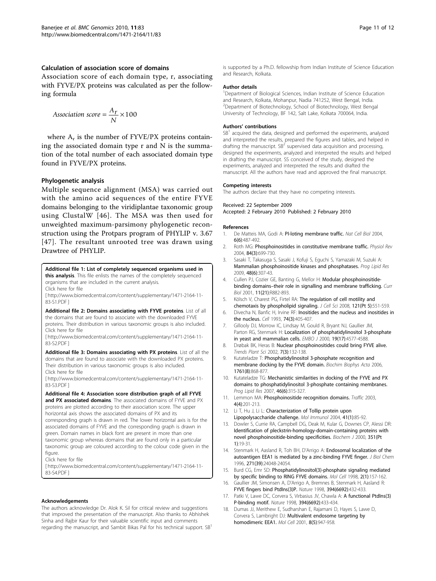#### <span id="page-10-0"></span>Calculation of association score of domains

Association score of each domain type, r, associating with FYVE/PX proteins was calculated as per the following formula

$$
Association \ score = \frac{A_T}{N} \times 100
$$

where  $A_r$  is the number of  $\text{FYVE/PX}$  proteins containing the associated domain type r and N is the summation of the total number of each associated domain type found in FYVE/PX proteins.

### Phylogenetic analysis

Multiple sequence alignment (MSA) was carried out with the amino acid sequences of the entire FYVE domains belonging to the viridiplantae taxonomic group using ClustalW [[46\]](#page-11-0). The MSA was then used for unweighted maximum-parsimony phylogenetic reconstruction using the Protpars program of PHYLIP v. 3.67 [[47](#page-11-0)]. The resultant unrooted tree was drawn using Drawtree of PHYLIP.

#### Additional file 1: List of completely sequenced organisms used in this analysis. This file enlists the names of the completely sequenced organisms that are included in the current analysis.

Click here for file

[ http://www.biomedcentral.com/content/supplementary/1471-2164-11- 83-S1.PDF ]

Additional file 2: Domains associating with FYVE proteins. List of all the domains that are found to associate with the downloaded FYVE proteins. Their distribution in various taxonomic groups is also included. Click here for file

[ http://www.biomedcentral.com/content/supplementary/1471-2164-11- 83-S2.PDF ]

Additional file 3: Domains associating with PX proteins. List of all the domains that are found to associate with the downloaded PX proteins. Their distribution in various taxonomic groups is also included. Click here for file

[ http://www.biomedcentral.com/content/supplementary/1471-2164-11- 83-S3.PDF ]

Additional file 4: Association score distribution graph of all FYVE and PX associated domains. The associated domains of FYVE and PX proteins are plotted according to their association score. The upper horizontal axis shows the associated domains of PX and its corresponding graph is drawn in red. The lower horizontal axis is for the associated domains of FYVE and the corresponding graph is drawn in green. Domain names in black font are present in more than one taxonomic group whereas domains that are found only in a particular taxonomic group are coloured according to the colour code given in the figure.

Click here for file

[ http://www.biomedcentral.com/content/supplementary/1471-2164-11- 83-S4.PDF ]

#### Acknowledgements

The authors acknowledge Dr. Alok K. Sil for critical review and suggestions that improved the presentation of the manuscript. Also thanks to Abhishek Sinha and Rajbir Kaur for their valuable scientific input and comments regarding the manuscript, and Sambit Bikas Pal for his technical support.  $SB<sup>1</sup>$ 

#### Author details

<sup>1</sup>Department of Biological Sciences, Indian Institute of Science Education and Research, Kolkata, Mohanpur, Nadia 741252, West Bengal, India. <sup>2</sup>Department of Biotechnology, School of Biotechnology, West Bengal University of Technology, BF 142, Salt Lake, Kolkata 700064, India.

#### Authors' contributions

SB<sup>1</sup> acquired the data, designed and performed the experiments, analyzed and interpreted the results, prepared the figures and tables, and helped in drafting the manuscript. SB<sup>2</sup> supervised data acquisition and processing designed the experiments, analyzed and interpreted the results and helped in drafting the manuscript. SS conceived of the study, designed the experiments, analyzed and interpreted the results and drafted the manuscript. All the authors have read and approved the final manuscript.

#### Competing interests

The authors declare that they have no competing interests.

Received: 22 September 2009 Accepted: 2 February 2010 Published: 2 February 2010

#### References

- 1. De Matteis MA, Godi A: [PI-loting membrane traffic.](http://www.ncbi.nlm.nih.gov/pubmed/15170460?dopt=Abstract) Nat Cell Biol 2004, 6(6):487-492.
- 2. Roth MG: [Phosphoinositides in constitutive membrane traffic.](http://www.ncbi.nlm.nih.gov/pubmed/15269334?dopt=Abstract) Physiol Rev 2004, 84(3):699-730.
- 3. Sasaki T, Takasuga S, Sasaki J, Kofuji S, Eguchi S, Yamazaki M, Suzuki A: [Mammalian phosphoinositide kinases and phosphatases.](http://www.ncbi.nlm.nih.gov/pubmed/19580826?dopt=Abstract) Prog Lipid Res 2009, 48(6):307-43.
- 4. Cullen PJ, Cozier GE, Banting G, Mellor H: [Modular phosphoinositide](http://www.ncbi.nlm.nih.gov/pubmed/11696348?dopt=Abstract)binding domains-[their role in signalling and membrane trafficking.](http://www.ncbi.nlm.nih.gov/pubmed/11696348?dopt=Abstract) Curr Biol 2001, 11(21):R882-893.
- 5. Kölsch V, Charest PG, Firtel RA: [The regulation of cell motility and](http://www.ncbi.nlm.nih.gov/pubmed/18287584?dopt=Abstract) [chemotaxis by phospholipid signaling.](http://www.ncbi.nlm.nih.gov/pubmed/18287584?dopt=Abstract) J Cell Sci 2008, 121(Pt 5):551-559.
- 6. Divecha N, Banfic H, Irvine RF: [Inositides and the nucleus and inositides in](http://www.ncbi.nlm.nih.gov/pubmed/8394217?dopt=Abstract) [the nucleus.](http://www.ncbi.nlm.nih.gov/pubmed/8394217?dopt=Abstract) Cell 1993, 74(3):405-407.
- 7. Gillooly DJ, Morrow IC, Lindsay M, Gould R, Bryant NJ, Gaullier JM, Parton RG, Stenmark H: [Localization of phosphatidylinositol 3-phosphate](http://www.ncbi.nlm.nih.gov/pubmed/10970851?dopt=Abstract) [in yeast and mammalian cells.](http://www.ncbi.nlm.nih.gov/pubmed/10970851?dopt=Abstract) EMBO J 2000, 19(17):4577-4588.
- 8. Drøbak BK, Heras B: [Nuclear phosphoinositides could bring FYVE alive.](http://www.ncbi.nlm.nih.gov/pubmed/11906837?dopt=Abstract) Trends Plant Sci 2002, 7(3):132-138.
- Kutateladze T: [Phosphatidylinositol 3-phosphate recognition and](http://www.ncbi.nlm.nih.gov/pubmed/16644267?dopt=Abstract) [membrane docking by the FYVE domain.](http://www.ncbi.nlm.nih.gov/pubmed/16644267?dopt=Abstract) Biochim Biophys Acta 2006, 1761(8):868-877.
- 10. Kutateladze TG: [Mechanistic similarities in docking of the FYVE and PX](http://www.ncbi.nlm.nih.gov/pubmed/17707914?dopt=Abstract) [domains to phosphatidylinositol 3-phosphate containing membranes.](http://www.ncbi.nlm.nih.gov/pubmed/17707914?dopt=Abstract) Prog Lipid Res 2007, 46(6):315-327.
- 11. Lemmon MA: [Phosphoinositide recognition domains.](http://www.ncbi.nlm.nih.gov/pubmed/12694559?dopt=Abstract) Traffic 2003, 4(4):201-213.
- 12. Li T, Hu J, Li L: [Characterization of Tollip protein upon](http://www.ncbi.nlm.nih.gov/pubmed/15140579?dopt=Abstract) [Lipopolysaccharide challenge.](http://www.ncbi.nlm.nih.gov/pubmed/15140579?dopt=Abstract) Mol Immunol 2004, 41(1):85-92.
- 13. Dowler S, Currie RA, Campbell DG, Deak M, Kular G, Downes CP, Alessi DR: [Identification of pleckstrin-homology-domain-containing proteins with](http://www.ncbi.nlm.nih.gov/pubmed/11001876?dopt=Abstract) [novel phosphoinositide-binding specificities.](http://www.ncbi.nlm.nih.gov/pubmed/11001876?dopt=Abstract) Biochem J 2000, 351(Pt 1):19-31.
- 14. Stenmark H, Aasland R, Toh BH, D'Arrigo A: [Endosomal localization of the](http://www.ncbi.nlm.nih.gov/pubmed/8798641?dopt=Abstract) [autoantigen EEA1 is mediated by a zinc-binding FYVE finger.](http://www.ncbi.nlm.nih.gov/pubmed/8798641?dopt=Abstract) J Biol Chem 1996, 271(39):24048-24054.
- 15. Burd CG, Emr SD: [Phosphatidylinositol\(3\)-phosphate signaling mediated](http://www.ncbi.nlm.nih.gov/pubmed/9702203?dopt=Abstract) [by specific binding to RING FYVE domains.](http://www.ncbi.nlm.nih.gov/pubmed/9702203?dopt=Abstract) Mol Cell 1998, 2(1):157-162.
- 16. Gaullier JM, Simonsen A, D'Arrigo A, Bremnes B, Stenmark H, Aasland R: [FYVE fingers bind PtdIns\(3\)P.](http://www.ncbi.nlm.nih.gov/pubmed/9697764?dopt=Abstract) Nature 1998, 394(6692):432-433.
- 17. Patki V, Lawe DC, Corvera S, Virbasius JV, Chawla A: [A functional PtdIns\(3\)](http://www.ncbi.nlm.nih.gov/pubmed/9697765?dopt=Abstract) [P-binding motif.](http://www.ncbi.nlm.nih.gov/pubmed/9697765?dopt=Abstract) Nature 1998, 394(6692):433-434.
- 18. Dumas JJ, Merithew E, Sudharshan E, Rajamani D, Hayes S, Lawe D, Corvera S, Lambright DJ: [Multivalent endosome targeting by](http://www.ncbi.nlm.nih.gov/pubmed/11741531?dopt=Abstract) [homodimeric EEA1.](http://www.ncbi.nlm.nih.gov/pubmed/11741531?dopt=Abstract) Mol Cell 2001, 8(5):947-958.